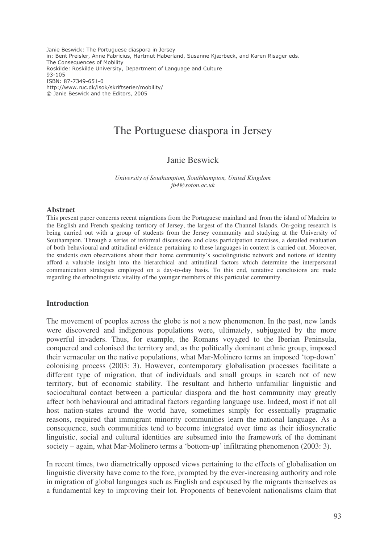Janie Beswick: The Portuguese diaspora in Jersey in: Bent Preisler, Anne Fabricius, Hartmut Haberland, Susanne Kjærbeck, and Karen Risager eds. The Consequences of Mobility Roskilde: Roskilde University, Department of Language and Culture  $93 - 105$ ISBN: 87-7349-651-0 http://www.ruc.dk/isok/skriftserier/mobility/ © Janie Beswick and the Editors, 2005

# The Portuguese diaspora in Jersey

## Janie Beswick

*University of Southampton, Southhampton, United Kingdom jb4@soton.ac.uk*

#### **Abstract**

This present paper concerns recent migrations from the Portuguese mainland and from the island of Madeira to the English and French speaking territory of Jersey, the largest of the Channel Islands. On-going research is being carried out with a group of students from the Jersey community and studying at the University of Southampton. Through a series of informal discussions and class participation exercises, a detailed evaluation of both behavioural and attitudinal evidence pertaining to these languages in context is carried out. Moreover, the students own observations about their home community's sociolinguistic network and notions of identity afford a valuable insight into the hierarchical and attitudinal factors which determine the interpersonal communication strategies employed on a day-to-day basis. To this end, tentative conclusions are made regarding the ethnolinguistic vitality of the younger members of this particular community.

#### **Introduction**

The movement of peoples across the globe is not a new phenomenon. In the past, new lands were discovered and indigenous populations were, ultimately, subjugated by the more powerful invaders. Thus, for example, the Romans voyaged to the Iberian Peninsula, conquered and colonised the territory and, as the politically dominant ethnic group, imposed their vernacular on the native populations, what Mar-Molinero terms an imposed 'top-down' colonising process (2003: 3). However, contemporary globalisation processes facilitate a different type of migration, that of individuals and small groups in search not of new territory, but of economic stability. The resultant and hitherto unfamiliar linguistic and sociocultural contact between a particular diaspora and the host community may greatly affect both behavioural and attitudinal factors regarding language use. Indeed, most if not all host nation-states around the world have, sometimes simply for essentially pragmatic reasons, required that immigrant minority communities learn the national language. As a consequence, such communities tend to become integrated over time as their idiosyncratic linguistic, social and cultural identities are subsumed into the framework of the dominant society – again, what Mar-Molinero terms a 'bottom-up' infiltrating phenomenon (2003: 3).

In recent times, two diametrically opposed views pertaining to the effects of globalisation on linguistic diversity have come to the fore, prompted by the ever-increasing authority and role in migration of global languages such as English and espoused by the migrants themselves as a fundamental key to improving their lot. Proponents of benevolent nationalisms claim that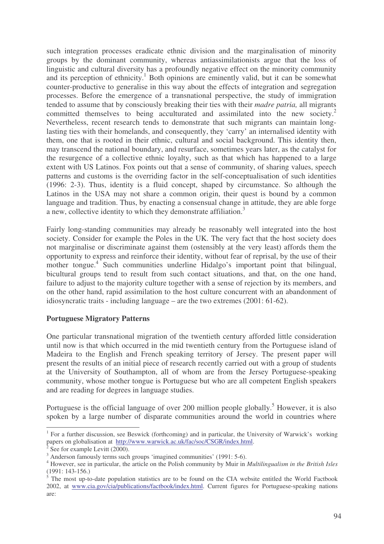such integration processes eradicate ethnic division and the marginalisation of minority groups by the dominant community, whereas antiassimilationists argue that the loss of linguistic and cultural diversity has a profoundly negative effect on the minority community and its perception of ethnicity. <sup>1</sup> Both opinions are eminently valid, but it can be somewhat counter-productive to generalise in this way about the effects of integration and segregation processes. Before the emergence of a transnational perspective, the study of immigration tended to assume that by consciously breaking their ties with their *madre patria,* all migrants committed themselves to being acculturated and assimilated into the new society.<sup>2</sup> Nevertheless, recent research tends to demonstrate that such migrants can maintain longlasting ties with their homelands, and consequently, they 'carry' an internalised identity with them, one that is rooted in their ethnic, cultural and social background. This identity then, may transcend the national boundary, and resurface, sometimes years later, as the catalyst for the resurgence of a collective ethnic loyalty, such as that which has happened to a large extent with US Latinos. Fox points out that a sense of community, of sharing values, speech patterns and customs is the overriding factor in the self-conceptualisation of such identities (1996: 2-3). Thus, identity is a fluid concept, shaped by circumstance. So although the Latinos in the USA may not share a common origin, their quest is bound by a common language and tradition. Thus, by enacting a consensual change in attitude, they are able forge a new, collective identity to which they demonstrate affiliation.<sup>3</sup>

Fairly long-standing communities may already be reasonably well integrated into the host society. Consider for example the Poles in the UK. The very fact that the host society does not marginalise or discriminate against them (ostensibly at the very least) affords them the opportunity to express and reinforce their identity, without fear of reprisal, by the use of their mother tongue.<sup>4</sup> Such communities underline Hidalgo's important point that bilingual, bicultural groups tend to result from such contact situations, and that, on the one hand, failure to adjust to the majority culture together with a sense of rejection by its members, and on the other hand, rapid assimilation to the host culture concurrent with an abandonment of idiosyncratic traits - including language – are the two extremes (2001: 61-62).

## **Portuguese Migratory Patterns**

One particular transnational migration of the twentieth century afforded little consideration until now is that which occurred in the mid twentieth century from the Portuguese island of Madeira to the English and French speaking territory of Jersey. The present paper will present the results of an initial piece of research recently carried out with a group of students at the University of Southampton, all of whom are from the Jersey Portuguese-speaking community, whose mother tongue is Portuguese but who are all competent English speakers and are reading for degrees in language studies.

Portuguese is the official language of over 200 million people globally.<sup>5</sup> However, it is also spoken by a large number of disparate communities around the world in countries where

<sup>&</sup>lt;sup>1</sup> For a further discussion, see Beswick (forthcoming) and in particular, the University of Warwick's working papers on globalisation at http://www.warwick.ac.uk/fac/soc/CSGR/index.html.

<sup>2</sup> See for example Levitt (2000).

 $3$  Anderson famously terms such groups 'imagined communities' (1991: 5-6).

<sup>4</sup> However, see in particular, the article on the Polish community by Muir in *Multilingualism in the British Isles* (1991: 143-156.)

<sup>5</sup> The most up-to-date population statistics are to be found on the CIA website entitled the World Factbook 2002, at www.cia.gov/cia/publications/factbook/index.html. Current figures for Portuguese-speaking nations are: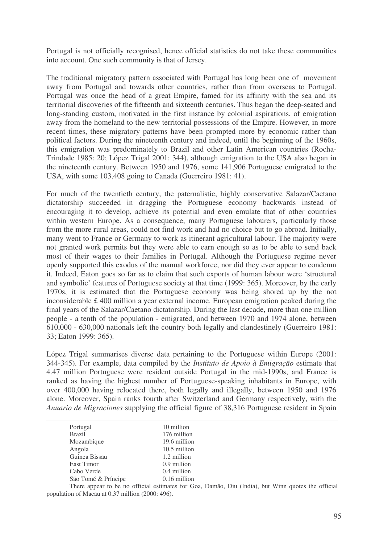Portugal is not officially recognised, hence official statistics do not take these communities into account. One such community is that of Jersey.

The traditional migratory pattern associated with Portugal has long been one of movement away from Portugal and towards other countries, rather than from overseas to Portugal. Portugal was once the head of a great Empire, famed for its affinity with the sea and its territorial discoveries of the fifteenth and sixteenth centuries. Thus began the deep-seated and long-standing custom, motivated in the first instance by colonial aspirations, of emigration away from the homeland to the new territorial possessions of the Empire. However, in more recent times, these migratory patterns have been prompted more by economic rather than political factors. During the nineteenth century and indeed, until the beginning of the 1960s, this emigration was predominately to Brazil and other Latin American countries (Rocha-Trindade 1985: 20; López Trigal 2001: 344), although emigration to the USA also began in the nineteenth century. Between 1950 and 1976, some 141,906 Portuguese emigrated to the USA, with some 103,408 going to Canada (Guerreiro 1981: 41).

For much of the twentieth century, the paternalistic, highly conservative Salazar/Caetano dictatorship succeeded in dragging the Portuguese economy backwards instead of encouraging it to develop, achieve its potential and even emulate that of other countries within western Europe. As a consequence, many Portuguese labourers, particularly those from the more rural areas, could not find work and had no choice but to go abroad. Initially, many went to France or Germany to work as itinerant agricultural labour. The majority were not granted work permits but they were able to earn enough so as to be able to send back most of their wages to their families in Portugal. Although the Portuguese regime never openly supported this exodus of the manual workforce, nor did they ever appear to condemn it. Indeed, Eaton goes so far as to claim that such exports of human labour were 'structural and symbolic' features of Portuguese society at that time (1999: 365). Moreover, by the early 1970s, it is estimated that the Portuguese economy was being shored up by the not inconsiderable £ 400 million a year external income. European emigration peaked during the final years of the Salazar/Caetano dictatorship. During the last decade, more than one million people - a tenth of the population - emigrated, and between 1970 and 1974 alone, between 610,000 - 630,000 nationals left the country both legally and clandestinely (Guerreiro 1981: 33; Eaton 1999: 365).

López Trigal summarises diverse data pertaining to the Portuguese within Europe (2001: 344-345). For example, data compiled by the *Instituto de Apoio à Emigração* estimate that 4.47 million Portuguese were resident outside Portugal in the mid-1990s, and France is ranked as having the highest number of Portuguese-speaking inhabitants in Europe, with over 400,000 having relocated there, both legally and illegally, between 1950 and 1976 alone. Moreover, Spain ranks fourth after Switzerland and Germany respectively, with the *Anuario de Migraciones* supplying the official figure of 38,316 Portuguese resident in Spain

| Portugal            | 10 million                         |
|---------------------|------------------------------------|
| <b>Brazil</b>       | 176 million                        |
| Mozambique          | 19.6 million                       |
| Angola              | 10.5 million                       |
| Guinea Bissau       | 1.2 million                        |
| East Timor          | 0.9 million                        |
| Cabo Verde          | 0.4 million                        |
| São Tomé & Príncipe | $0.16$ million                     |
|                     | $\sim$ $\sim$ $\sim$ $\sim$ $\sim$ |

There appear to be no official estimates for Goa, Damão, Diu (India), but Winn quotes the official population of Macau at 0.37 million (2000: 496).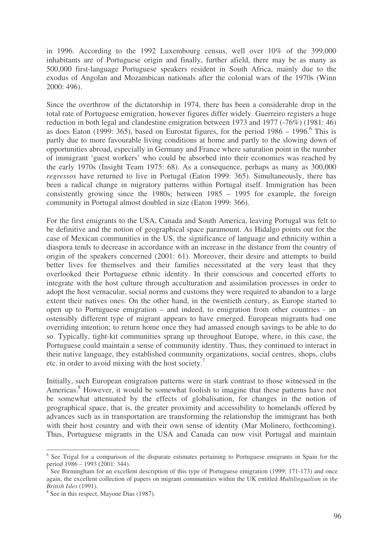in 1996. According to the 1992 Luxembourg census, well over 10% of the 399,000 inhabitants are of Portuguese origin and finally, further afield, there may be as many as 500,000 first-language Portuguese speakers resident in South Africa, mainly due to the exodus of Angolan and Mozambican nationals after the colonial wars of the 1970s (Winn 2000: 496).

Since the overthrow of the dictatorship in 1974, there has been a considerable drop in the total rate of Portuguese emigration, however figures differ widely. Guerreiro registers a huge reduction in both legal and clandestine emigration between 1973 and 1977 (-76%) (1981: 46) as does Eaton (1999: 365), based on Eurostat figures, for the period  $1986 - 1996$ .<sup>6</sup> This is partly due to more favourable living conditions at home and partly to the slowing down of opportunities abroad, especially in Germany and France where saturation point in the number of immigrant 'guest workers' who could be absorbed into their economies was reached by the early 1970s (Insight Team 1975: 68). As a consequence, perhaps as many as 300,000 *regressos* have returned to live in Portugal (Eaton 1999: 365). Simultaneously, there has been a radical change in migratory patterns within Portugal itself. Immigration has been consistently growing since the 1980s; between 1985 – 1995 for example, the foreign community in Portugal almost doubled in size (Eaton 1999: 366).

For the first emigrants to the USA, Canada and South America, leaving Portugal was felt to be definitive and the notion of geographical space paramount. As Hidalgo points out for the case of Mexican communities in the US, the significance of language and ethnicity within a diaspora tends to decrease in accordance with an increase in the distance from the country of origin of the speakers concerned (2001: 61). Moreover, their desire and attempts to build better lives for themselves and their families necessitated at the very least that they overlooked their Portuguese ethnic identity. In their conscious and concerted efforts to integrate with the host culture through acculturation and assimilation processes in order to adopt the host vernacular, social norms and customs they were required to abandon to a large extent their natives ones. On the other hand, in the twentieth century, as Europe started to open up to Portuguese emigration – and indeed, to emigration from other countries - an ostensibly different type of migrant appears to have emerged. European migrants had one overriding intention; to return home once they had amassed enough savings to be able to do so. Typically, tight-kit communities sprang up throughout Europe, where, in this case, the Portuguese could maintain a sense of community identity. Thus, they continued to interact in their native language, they established community organizations, social centres, shops, clubs etc. in order to avoid mixing with the host society.<sup>7</sup>

Initially, such European emigration patterns were in stark contrast to those witnessed in the Americas. <sup>8</sup> However, it would be somewhat foolish to imagine that these patterns have not be somewhat attenuated by the effects of globalisation, for changes in the notion of geographical space, that is, the greater proximity and accessibility to homelands offered by advances such as in transportation are transforming the relationship the immigrant has both with their host country and with their own sense of identity (Mar Molinero, forthcoming). Thus, Portuguese migrants in the USA and Canada can now visit Portugal and maintain

<sup>&</sup>lt;sup>6</sup> See Trigal for a comparison of the disparate estimates pertaining to Portuguese emigrants in Spain for the period 1986 – 1993 (2001: 344).

<sup>7</sup> See Birmingham for an excellent description of this type of Portuguese emigration (1999: 171-173) and once again, the excellent collection of papers on migrant communities within the UK entitled *Multilingualism in the British Isles* (1991).

<sup>&</sup>lt;sup>8</sup> See in this respect, Mayone Dias (1987).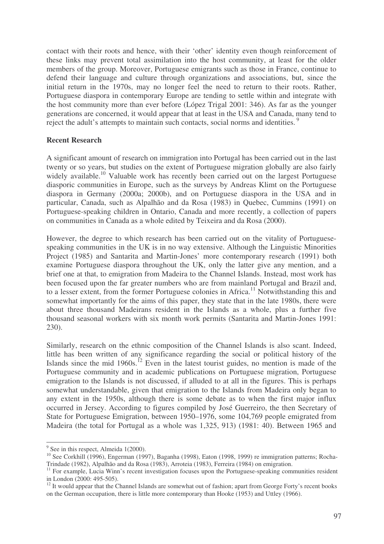contact with their roots and hence, with their 'other' identity even though reinforcement of these links may prevent total assimilation into the host community, at least for the older members of the group. Moreover, Portuguese emigrants such as those in France, continue to defend their language and culture through organizations and associations, but, since the initial return in the 1970s, may no longer feel the need to return to their roots. Rather, Portuguese diaspora in contemporary Europe are tending to settle within and integrate with the host community more than ever before (López Trigal 2001: 346). As far as the younger generations are concerned, it would appear that at least in the USA and Canada, many tend to reject the adult's attempts to maintain such contacts, social norms and identities.<sup>9</sup>

## **Recent Research**

A significant amount of research on immigration into Portugal has been carried out in the last twenty or so years, but studies on the extent of Portuguese migration globally are also fairly widely available.<sup>10</sup> Valuable work has recently been carried out on the largest Portuguese diasporic communities in Europe, such as the surveys by Andreas Klimt on the Portuguese diaspora in Germany (2000a; 2000b), and on Portuguese diaspora in the USA and in particular, Canada, such as Alpalhão and da Rosa (1983) in Quebec, Cummins (1991) on Portuguese-speaking children in Ontario, Canada and more recently, a collection of papers on communities in Canada as a whole edited by Teixeira and da Rosa (2000).

However, the degree to which research has been carried out on the vitality of Portuguesespeaking communities in the UK is in no way extensive. Although the Linguistic Minorities Project (1985) and Santarita and Martin-Jones' more contemporary research (1991) both examine Portuguese diaspora throughout the UK, only the latter give any mention, and a brief one at that, to emigration from Madeira to the Channel Islands. Instead, most work has been focused upon the far greater numbers who are from mainland Portugal and Brazil and, to a lesser extent, from the former Portuguese colonies in Africa.<sup>11</sup> Notwithstanding this and somewhat importantly for the aims of this paper, they state that in the late 1980s, there were about three thousand Madeirans resident in the Islands as a whole, plus a further five thousand seasonal workers with six month work permits (Santarita and Martin-Jones 1991: 230).

Similarly, research on the ethnic composition of the Channel Islands is also scant. Indeed, little has been written of any significance regarding the social or political history of the Islands since the mid  $1960s$ .<sup>12</sup> Even in the latest tourist guides, no mention is made of the Portuguese community and in academic publications on Portuguese migration, Portuguese emigration to the Islands is not discussed, if alluded to at all in the figures. This is perhaps somewhat understandable, given that emigration to the Islands from Madeira only began to any extent in the 1950s, although there is some debate as to when the first major influx occurred in Jersey. According to figures compiled by José Guerreiro, the then Secretary of State for Portuguese Emigration, between 1950–1976, some 104,769 people emigrated from Madeira (the total for Portugal as a whole was 1,325, 913) (1981: 40). Between 1965 and

<sup>&</sup>lt;sup>9</sup> See in this respect, Almeida 1(2000).

<sup>&</sup>lt;sup>10</sup> See Corkhill (1996), Engerman (1997), Baganha (1998), Eaton (1998, 1999) re immigration patterns; Rocha-Trindade (1982), Alpalhão and da Rosa (1983), Arroteia (1983), Ferreira (1984) on emigration.

<sup>&</sup>lt;sup>11</sup> For example, Lucia Winn's recent investigation focuses upon the Portuguese-speaking communities resident in London (2000: 495-505).

<sup>&</sup>lt;sup>12</sup> It would appear that the Channel Islands are somewhat out of fashion; apart from George Forty's recent books on the German occupation, there is little more contemporary than Hooke (1953) and Uttley (1966).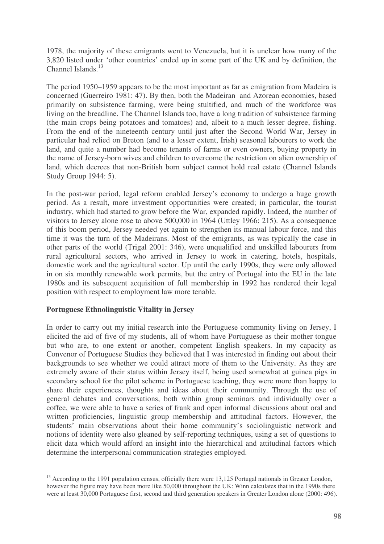1978, the majority of these emigrants went to Venezuela, but it is unclear how many of the 3,820 listed under 'other countries' ended up in some part of the UK and by definition, the Channel Islands.<sup>13</sup>

The period 1950–1959 appears to be the most important as far as emigration from Madeira is concerned (Guerreiro 1981: 47). By then, both the Madeiran and Azorean economies, based primarily on subsistence farming, were being stultified, and much of the workforce was living on the breadline. The Channel Islands too, have a long tradition of subsistence farming (the main crops being potatoes and tomatoes) and, albeit to a much lesser degree, fishing. From the end of the nineteenth century until just after the Second World War, Jersey in particular had relied on Breton (and to a lesser extent, Irish) seasonal labourers to work the land, and quite a number had become tenants of farms or even owners, buying property in the name of Jersey-born wives and children to overcome the restriction on alien ownership of land, which decrees that non-British born subject cannot hold real estate (Channel Islands Study Group 1944: 5).

In the post-war period, legal reform enabled Jersey's economy to undergo a huge growth period. As a result, more investment opportunities were created; in particular, the tourist industry, which had started to grow before the War, expanded rapidly. Indeed, the number of visitors to Jersey alone rose to above 500,000 in 1964 (Uttley 1966: 215). As a consequence of this boom period, Jersey needed yet again to strengthen its manual labour force, and this time it was the turn of the Madeirans. Most of the emigrants, as was typically the case in other parts of the world (Trigal 2001: 346), were unqualified and unskilled labourers from rural agricultural sectors, who arrived in Jersey to work in catering, hotels, hospitals, domestic work and the agricultural sector. Up until the early 1990s, they were only allowed in on six monthly renewable work permits, but the entry of Portugal into the EU in the late 1980s and its subsequent acquisition of full membership in 1992 has rendered their legal position with respect to employment law more tenable.

## **Portuguese Ethnolinguistic Vitality in Jersey**

In order to carry out my initial research into the Portuguese community living on Jersey, I elicited the aid of five of my students, all of whom have Portuguese as their mother tongue but who are, to one extent or another, competent English speakers. In my capacity as Convenor of Portuguese Studies they believed that I was interested in finding out about their backgrounds to see whether we could attract more of them to the University. As they are extremely aware of their status within Jersey itself, being used somewhat at guinea pigs in secondary school for the pilot scheme in Portuguese teaching, they were more than happy to share their experiences, thoughts and ideas about their community. Through the use of general debates and conversations, both within group seminars and individually over a coffee, we were able to have a series of frank and open informal discussions about oral and written proficiencies, linguistic group membership and attitudinal factors. However, the students' main observations about their home community's sociolinguistic network and notions of identity were also gleaned by self-reporting techniques, using a set of questions to elicit data which would afford an insight into the hierarchical and attitudinal factors which determine the interpersonal communication strategies employed.

<sup>&</sup>lt;sup>13</sup> According to the 1991 population census, officially there were 13,125 Portugal nationals in Greater London, however the figure may have been more like 50,000 throughout the UK: Winn calculates that in the 1990s there were at least 30,000 Portuguese first, second and third generation speakers in Greater London alone (2000: 496).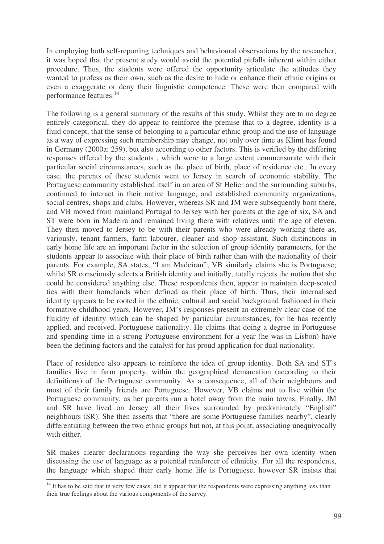In employing both self-reporting techniques and behavioural observations by the researcher, it was hoped that the present study would avoid the potential pitfalls inherent within either procedure. Thus, the students were offered the opportunity articulate the attitudes they wanted to profess as their own, such as the desire to hide or enhance their ethnic origins or even a exaggerate or deny their linguistic competence. These were then compared with performance features. 14

The following is a general summary of the results of this study. Whilst they are to no degree entirely categorical, they do appear to reinforce the premise that to a degree, identity is a fluid concept, that the sense of belonging to a particular ethnic group and the use of language as a way of expressing such membership may change, not only over time as Klimt has found in Germany (2000a: 259), but also according to other factors. This is verified by the differing responses offered by the students , which were to a large extent commensurate with their particular social circumstances, such as the place of birth, place of residence etc.. In every case, the parents of these students went to Jersey in search of economic stability. The Portuguese community established itself in an area of St Helier and the surrounding suburbs, continued to interact in their native language, and established community organizations, social centres, shops and clubs. However, whereas SR and JM were subsequently born there, and VB moved from mainland Portugal to Jersey with her parents at the age of six, SA and ST were born in Madeira and remained living there with relatives until the age of eleven. They then moved to Jersey to be with their parents who were already working there as, variously, tenant farmers, farm labourer, cleaner and shop assistant. Such distinctions in early home life are an important factor in the selection of group identity parameters, for the students appear to associate with their place of birth rather than with the nationality of their parents. For example, SA states, "I am Madeiran"; VB similarly claims she is Portuguese; whilst SR consciously selects a British identity and initially, totally rejects the notion that she could be considered anything else. These respondents then, appear to maintain deep-seated ties with their homelands when defined as their place of birth. Thus, their internalised identity appears to be rooted in the ethnic, cultural and social background fashioned in their formative childhood years. However, JM's responses present an extremely clear case of the fluidity of identity which can be shaped by particular circumstances, for he has recently applied, and received, Portuguese nationality. He claims that doing a degree in Portuguese and spending time in a strong Portuguese environment for a year (he was in Lisbon) have been the defining factors and the catalyst for his proud application for dual nationality.

Place of residence also appears to reinforce the idea of group identity. Both SA and ST's families live in farm property, within the geographical demarcation (according to their definitions) of the Portuguese community. As a consequence, all of their neighbours and most of their family friends are Portuguese. However, VB claims not to live within the Portuguese community, as her parents run a hotel away from the main towns. Finally, JM and SR have lived on Jersey all their lives surrounded by predominately "English" neighbours (SR). She then asserts that "there are some Portuguese families nearby", clearly differentiating between the two ethnic groups but not, at this point, associating unequivocally with either.

SR makes clearer declarations regarding the way she perceives her own identity when discussing the use of language as a potential reinforcer of ethnicity. For all the respondents, the language which shaped their early home life is Portuguese, however SR insists that

<sup>&</sup>lt;sup>14</sup> It has to be said that in very few cases, did it appear that the respondents were expressing anything less than their true feelings about the various components of the survey.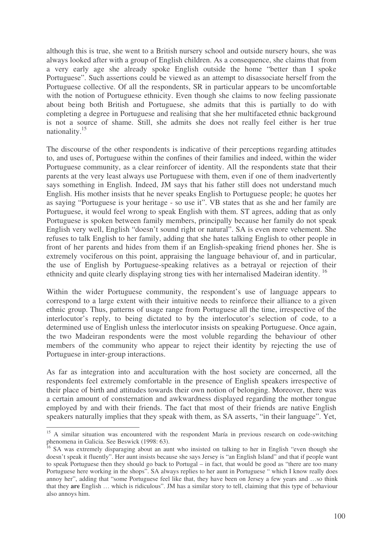although this is true, she went to a British nursery school and outside nursery hours, she was always looked after with a group of English children. As a consequence, she claims that from a very early age she already spoke English outside the home "better than I spoke Portuguese". Such assertions could be viewed as an attempt to disassociate herself from the Portuguese collective. Of all the respondents, SR in particular appears to be uncomfortable with the notion of Portuguese ethnicity. Even though she claims to now feeling passionate about being both British and Portuguese, she admits that this is partially to do with completing a degree in Portuguese and realising that she her multifaceted ethnic background is not a source of shame. Still, she admits she does not really feel either is her true nationality.<sup>15</sup>

The discourse of the other respondents is indicative of their perceptions regarding attitudes to, and uses of, Portuguese within the confines of their families and indeed, within the wider Portuguese community, as a clear reinforcer of identity. All the respondents state that their parents at the very least always use Portuguese with them, even if one of them inadvertently says something in English. Indeed, JM says that his father still does not understand much English. His mother insists that he never speaks English to Portuguese people; he quotes her as saying "Portuguese is your heritage - so use it". VB states that as she and her family are Portuguese, it would feel wrong to speak English with them. ST agrees, adding that as only Portuguese is spoken between family members, principally because her family do not speak English very well, English "doesn't sound right or natural". SA is even more vehement. She refuses to talk English to her family, adding that she hates talking English to other people in front of her parents and hides from them if an English-speaking friend phones her. She is extremely vociferous on this point, appraising the language behaviour of, and in particular, the use of English by Portuguese-speaking relatives as a betrayal or rejection of their ethnicity and quite clearly displaying strong ties with her internalised Madeiran identity.<sup>16</sup>

Within the wider Portuguese community, the respondent's use of language appears to correspond to a large extent with their intuitive needs to reinforce their alliance to a given ethnic group. Thus, patterns of usage range from Portuguese all the time, irrespective of the interlocutor's reply, to being dictated to by the interlocutor's selection of code, to a determined use of English unless the interlocutor insists on speaking Portuguese. Once again, the two Madeiran respondents were the most voluble regarding the behaviour of other members of the community who appear to reject their identity by rejecting the use of Portuguese in inter-group interactions.

As far as integration into and acculturation with the host society are concerned, all the respondents feel extremely comfortable in the presence of English speakers irrespective of their place of birth and attitudes towards their own notion of belonging. Moreover, there was a certain amount of consternation and awkwardness displayed regarding the mother tongue employed by and with their friends. The fact that most of their friends are native English speakers naturally implies that they speak with them, as SA asserts, "in their language". Yet,

<sup>&</sup>lt;sup>15</sup> A similar situation was encountered with the respondent María in previous research on code-switching phenomena in Galicia. See Beswick (1998: 63).

<sup>&</sup>lt;sup>16</sup> SA was extremely disparaging about an aunt who insisted on talking to her in English "even though she doesn't speak it fluently". Her aunt insists because she says Jersey is "an English Island" and that if people want to speak Portuguese then they should go back to Portugal – in fact, that would be good as "there are too many Portuguese here working in the shops". SA always replies to her aunt in Portuguese " which I know really does annoy her", adding that "some Portuguese feel like that, they have been on Jersey a few years and …so think that they **are** English … which is ridiculous". JM has a similar story to tell, claiming that this type of behaviour also annoys him.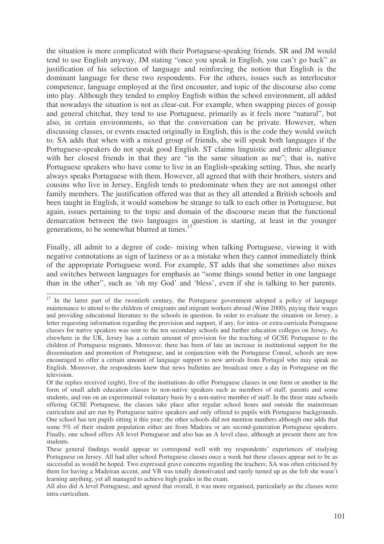the situation is more complicated with their Portuguese-speaking friends. SR and JM would tend to use English anyway, JM stating "once you speak in English, you can't go back" as justification of his selection of language and reinforcing the notion that English is the dominant language for these two respondents. For the others, issues such as interlocutor competence, language employed at the first encounter, and topic of the discourse also come into play. Although they tended to employ English within the school environment, all added that nowadays the situation is not as clear-cut. For example, when swapping pieces of gossip and general chitchat, they tend to use Portuguese, primarily as it feels more "natural", but also, in certain environments, so that the conversation can be private. However, when discussing classes, or events enacted originally in English, this is the code they would switch to. SA adds that when with a mixed group of friends, she will speak both languages if the Portuguese-speakers do not speak good English. ST claims linguistic and ethnic allegiance with her closest friends in that they are "in the same situation as me"; that is, native Portuguese speakers who have come to live in an English-speaking setting. Thus, she nearly always speaks Portuguese with them. However, all agreed that with their brothers, sisters and cousins who live in Jersey, English tends to predominate when they are not amongst other family members. The justification offered was that as they all attended a British schools and been taught in English, it would somehow be strange to talk to each other in Portuguese, but again, issues pertaining to the topic and domain of the discourse mean that the functional demarcation between the two languages in question is starting, at least in the younger generations, to be somewhat blurred at times.<sup>17</sup>

Finally, all admit to a degree of code- mixing when talking Portuguese, viewing it with negative connotations as sign of laziness or as a mistake when they cannot immediately think of the appropriate Portuguese word. For example, ST adds that she sometimes also mixes and switches between languages for emphasis as "some things sound better in one language than in the other", such as 'oh my God' and 'bless', even if she is talking to her parents.

<sup>&</sup>lt;sup>17</sup> In the latter part of the twentieth century, the Portuguese government adopted a policy of language maintenance to attend to the children of emigrants and migrant workers abroad (Winn 2000), paying their wages and providing educational literature to the schools in question. In order to evaluate the situation on Jersey, a letter requesting information regarding the provision and support, if any, for intra- or extra-curricula Portuguese classes for native speakers was sent to the ten secondary schools and further education colleges on Jersey**.** As elsewhere in the UK, Jersey has a certain amount of provision for the teaching of GCSE Portuguese to the children of Portuguese migrants. Moreover, there has been of late an increase in institutional support for the dissemination and promotion of Portuguese, and in conjunction with the Portuguese Consul, schools are now encouraged to offer a certain amount of language support to new arrivals from Portugal who may speak no English. Moreover, the respondents knew that news bulletins are broadcast once a day in Portuguese on the television.

Of the replies received (eight), five of the institutions do offer Portuguese classes in one form or another in the form of small adult education classes to non-native speakers such as members of staff, parents and some students, and run on an experimental voluntary basis by a non-native member of staff. In the three state schools offering GCSE Portuguese, the classes take place after regular school hours and outside the mainstream curriculum and are run by Portuguese native speakers and only offered to pupils with Portuguese backgrounds. One school has ten pupils sitting it this year; the other schools did not mention numbers although one adds that some 5% of their student population either are from Madeira or are second-generation Portuguese speakers. Finally, one school offers AS level Portuguese and also has an A level class, although at present there are few students.

These general findings would appear to correspond well with my respondents' experiences of studying Portuguese on Jersey. All had after school Portuguese classes once a week but these classes appear not to be as successful as would be hoped. Two expressed grave concerns regarding the teachers; SA was often criticised by them for having a Madeiran accent, and VB was totally demotivated and rarely turned up as she felt she wasn't learning anything, yet all managed to achieve high grades in the exam.

All also did A level Portuguese, and agreed that overall, it was more organised, particularly as the classes were intra curriculum.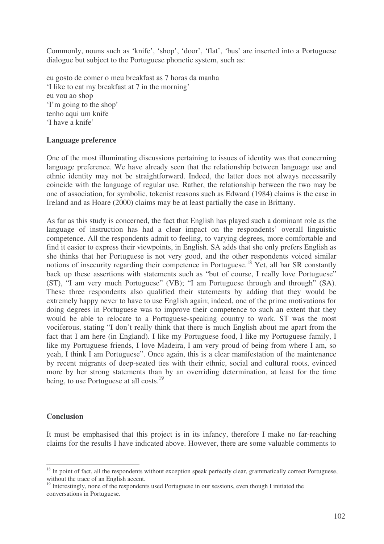Commonly, nouns such as 'knife', 'shop', 'door', 'flat', 'bus' are inserted into a Portuguese dialogue but subject to the Portuguese phonetic system, such as:

eu gosto de comer o meu breakfast as 7 horas da manha 'I like to eat my breakfast at 7 in the morning' eu vou ao shop 'I'm going to the shop' tenho aqui um knife 'I have a knife'

## **Language preference**

One of the most illuminating discussions pertaining to issues of identity was that concerning language preference. We have already seen that the relationship between language use and ethnic identity may not be straightforward. Indeed, the latter does not always necessarily coincide with the language of regular use. Rather, the relationship between the two may be one of association, for symbolic, tokenist reasons such as Edward (1984) claims is the case in Ireland and as Hoare (2000) claims may be at least partially the case in Brittany.

As far as this study is concerned, the fact that English has played such a dominant role as the language of instruction has had a clear impact on the respondents' overall linguistic competence. All the respondents admit to feeling, to varying degrees, more comfortable and find it easier to express their viewpoints, in English. SA adds that she only prefers English as she thinks that her Portuguese is not very good, and the other respondents voiced similar notions of insecurity regarding their competence in Portuguese.<sup>18</sup> Yet, all bar SR constantly back up these assertions with statements such as "but of course, I really love Portuguese" (ST), "I am very much Portuguese" (VB); "I am Portuguese through and through" (SA). These three respondents also qualified their statements by adding that they would be extremely happy never to have to use English again; indeed, one of the prime motivations for doing degrees in Portuguese was to improve their competence to such an extent that they would be able to relocate to a Portuguese-speaking country to work. ST was the most vociferous, stating "I don't really think that there is much English about me apart from the fact that I am here (in England). I like my Portuguese food, I like my Portuguese family, I like my Portuguese friends, I love Madeira, I am very proud of being from where I am, so yeah, I think I am Portuguese". Once again, this is a clear manifestation of the maintenance by recent migrants of deep-seated ties with their ethnic, social and cultural roots, evinced more by her strong statements than by an overriding determination, at least for the time being, to use Portuguese at all costs.<sup>19</sup>

## **Conclusion**

It must be emphasised that this project is in its infancy, therefore I make no far-reaching claims for the results I have indicated above. However, there are some valuable comments to

<sup>&</sup>lt;sup>18</sup> In point of fact, all the respondents without exception speak perfectly clear, grammatically correct Portuguese, without the trace of an English accent.

<sup>&</sup>lt;sup>19</sup> Interestingly, none of the respondents used Portuguese in our sessions, even though I initiated the conversations in Portuguese.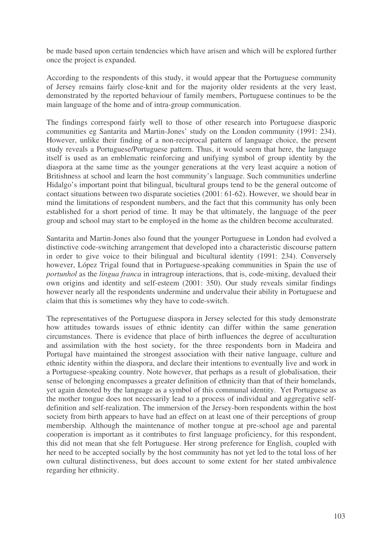be made based upon certain tendencies which have arisen and which will be explored further once the project is expanded.

According to the respondents of this study, it would appear that the Portuguese community of Jersey remains fairly close-knit and for the majority older residents at the very least, demonstrated by the reported behaviour of family members, Portuguese continues to be the main language of the home and of intra-group communication.

The findings correspond fairly well to those of other research into Portuguese diasporic communities eg Santarita and Martin-Jones' study on the London community (1991: 234). However, unlike their finding of a non-reciprocal pattern of language choice, the present study reveals a Portuguese/Portuguese pattern. Thus, it would seem that here, the language itself is used as an emblematic reinforcing and unifying symbol of group identity by the diaspora at the same time as the younger generations at the very least acquire a notion of Britishness at school and learn the host community's language. Such communities underline Hidalgo's important point that bilingual, bicultural groups tend to be the general outcome of contact situations between two disparate societies (2001: 61-62). However, we should bear in mind the limitations of respondent numbers, and the fact that this community has only been established for a short period of time. It may be that ultimately, the language of the peer group and school may start to be employed in the home as the children become acculturated.

Santarita and Martin-Jones also found that the younger Portuguese in London had evolved a distinctive code-switching arrangement that developed into a characteristic discourse pattern in order to give voice to their bilingual and bicultural identity (1991: 234). Conversely however, López Trigal found that in Portuguese-speaking communities in Spain the use of *portunhol* as the *lingua franca* in intragroup interactions, that is, code-mixing, devalued their own origins and identity and self-esteem (2001: 350). Our study reveals similar findings however nearly all the respondents undermine and undervalue their ability in Portuguese and claim that this is sometimes why they have to code-switch.

The representatives of the Portuguese diaspora in Jersey selected for this study demonstrate how attitudes towards issues of ethnic identity can differ within the same generation circumstances. There is evidence that place of birth influences the degree of acculturation and assimilation with the host society, for the three respondents born in Madeira and Portugal have maintained the strongest association with their native language, culture and ethnic identity within the diaspora, and declare their intentions to eventually live and work in a Portuguese-speaking country. Note however, that perhaps as a result of globalisation, their sense of belonging encompasses a greater definition of ethnicity than that of their homelands, yet again denoted by the language as a symbol of this communal identity. Yet Portuguese as the mother tongue does not necessarily lead to a process of individual and aggregative selfdefinition and self-realization. The immersion of the Jersey-born respondents within the host society from birth appears to have had an effect on at least one of their perceptions of group membership. Although the maintenance of mother tongue at pre-school age and parental cooperation is important as it contributes to first language proficiency, for this respondent, this did not mean that she felt Portuguese. Her strong preference for English, coupled with her need to be accepted socially by the host community has not yet led to the total loss of her own cultural distinctiveness, but does account to some extent for her stated ambivalence regarding her ethnicity.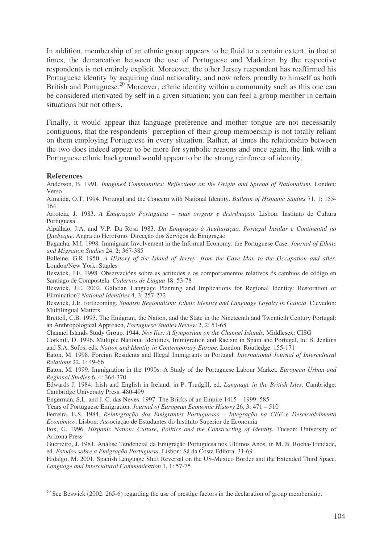In addition, membership of an ethnic group appears to be fluid to a certain extent, in that at times, the demarcation between the use of Portuguese and Madeiran by the respective respondents is not entirely explicit. Moreover, the other Jersey respondent has reaffirmed his Portuguese identity by acquiring dual nationality, and now refers proudly to himself as both British and Portuguese.<sup>20</sup> Moreover, ethnic identity within a community such as this one can be considered motivated by self in a given situation; you can feel a group member in certain situations but not others.

Finally, it would appear that language preference and mother tongue are not necessarily contiguous, that the respondents' perception of their group membership is not totally reliant on them employing Portuguese in every situation. Rather, at times the relationship between the two does indeed appear to be more for symbolic reasons and once again, the link with a Portuguese ethnic background would appear to be the strong reinforcer of identity.

#### **References**

Anderson, B. 1991. *Imagined Communities: Reflections on the Origin and Spread of Nationalism.* London: Verso

Almeida, O.T. 1994. Portugal and the Concern with National Identity. *Bulletin of Hispanic Studies* 71, 1: 155- 164

Arroteia, J. 1983. *A Emigração Portuguesa – suas origens e distribuição*. Lisbon: Instituto de Cultura Portuguesa

Alpalhão, J.A. and V.P. Da Rosa 1983. *Da Emigração à Aculturação. Portugal Insular e Continental no Quebeque*. Angra do Heroísmo: Direcção dos Serviços de Emigração

Baganha, M.I. 1998. Immigrant Involvement in the Informal Economy: the Portuguese Case. *Journal of Ethnic and Migration Studies* 24, 2: 367-385

Balleine, G.R 1950. *A History of the Island of Jersey: from the Cave Man to the Occupation and after*. London/New York: Staples

Beswick, J.E. 1998. Observacións sobre as actitudes e os comportamentos relativos ós cambios de código en Santiago de Compostela. *Cadernos de Lingua* 18: 53-78

Beswick, J.E. 2002. Galician Language Planning and Implications for Regional Identity: Restoration or Elimination? *National Identities* 4, 3: 257-272

Beswick, J.E. forthcoming. *Spanish Regionalism: Ethnic Identity and Language Loyalty in Galicia*. Clevedon: Multilingual Matters

Brettell, C.B. 1993. The Emigrant, the Nation, and the State in the Nineteenth and Twentieth Century Portugal: an Anthropological Approach, *Portuguese Studies Review* 2, 2: 51-65

Channel Islands Study Group. 1944. *Nos Iles: A Symposium on the Channel Islands.* Middlesex: CISG

Corkhill, D. 1996. Multiple National Identities, Immigration and Racism in Spain and Portugal, in: B. Jenkins and S.A. Sofos, eds. *Nation and Identity in Contemporary Europe.* London: Routledge. 155-171

Eaton, M. 1998. Foreign Residents and Illegal Immigrants in Portugal. *International Journal of Intercultural Relations* 22, 1: 49-66

Eaton, M. 1999. Immigration in the 1990s: A Study of the Portuguese Labour Market. *European Urban and Regional Studies* 6, 4: 364-370

Edwards J. 1984. Irish and English in Ireland, in P. Trudgill, ed. *Language in the British Isles*. Cambridge: Cambridge University Press. 480-499

Engerman, S.L. and J. C. das Neves. 1997. The Bricks of an Empire 1415 – 1999: 585

Years of Portuguese Emigration. *Journal of European Economic History* 26, 3: 471 – 510

Ferreira, E.S. 1984. *Reintegração dos Emigrantes Portuguesas – Integração na CEE e Desenvolvimento Económico*. Lisbon: Associação de Estudantes do Instituto Superior de Economia

Fox, G. 1996. *Hispanic Nation: Culture, Politics and the Constructing of Identity.* Tucson: University of Arizona Press

Guerreiro, J. 1981. Análise Tendencial da Emigração Portuguesa nos Ultimos Anos, in M. B. Rocha-Trindade, ed. *Estudos sobre a Emigração Portuguesa*. Lisbon: Sá da Costa Editora. 31-69

Hidalgo, M. 2001. Spanish Language Shift Reversal on the US-Mexico Border and the Extended Third Space. *Language and Intercultural Communication* 1, 1: 57-75

<sup>&</sup>lt;sup>20</sup> See Beswick (2002: 265-6) regarding the use of prestige factors in the declaration of group membership.